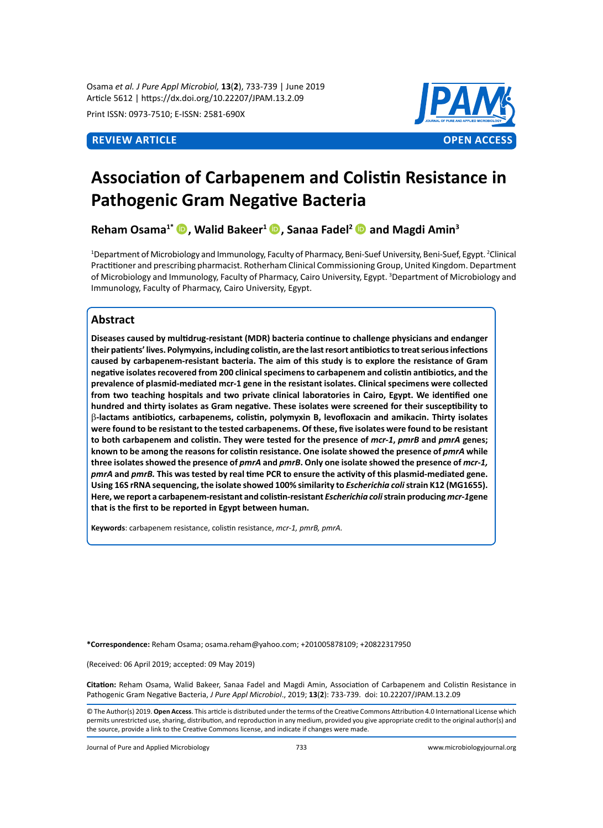Osama *et al. J Pure Appl Microbiol,* **13**(**2**), 733-739 | June 2019 Article 5612 | https://dx.doi.org/10.22207/JPAM.13.2.09

Print ISSN: 0973-7510; E-ISSN: 2581-690X



# **Association of Carbapenem and Colistin Resistance in Pathogenic Gram Negative Bacteria**

**Reham Osama1\* , Walid Bakeer<sup>1</sup>, Sanaa Fadel<sup>2</sup> and Magdi Amin<sup>3</sup>**

<sup>1</sup>Department of Microbiology and Immunology, Faculty of Pharmacy, Beni-Suef University, Beni-Suef, Egypt. <sup>2</sup>Clinical Practitioner and prescribing pharmacist. Rotherham Clinical Commissioning Group, United Kingdom. Department of Microbiology and Immunology, Faculty of Pharmacy, Cairo University, Egypt. <sup>3</sup>Department of Microbiology and Immunology, Faculty of Pharmacy, Cairo University, Egypt.

# **Abstract**

**Diseases caused by multidrug-resistant (MDR) bacteria continue to challenge physicians and endanger their patients' lives. Polymyxins, including colistin, are the last resort antibiotics to treat serious infections caused by carbapenem-resistant bacteria. The aim of this study is to explore the resistance of Gram negative isolates recovered from 200 clinical specimens to carbapenem and colistin antibiotics, and the prevalence of plasmid-mediated mcr-1 gene in the resistant isolates. Clinical specimens were collected from two teaching hospitals and two private clinical laboratories in Cairo, Egypt. We identified one hundred and thirty isolates as Gram negative. These isolates were screened for their susceptibility to**  β**-lactams antibiotics, carbapenems, colistin, polymyxin B, levofloxacin and amikacin. Thirty isolates were found to be resistant to the tested carbapenems. Of these, five isolates were found to be resistant to both carbapenem and colistin. They were tested for the presence of** *mcr-1***,** *pmrB* **and** *pmrA* **genes; known to be among the reasons for colistin resistance. One isolate showed the presence of** *pmrA* **while three isolates showed the presence of** *pmrA* **and** *pmrB***. Only one isolate showed the presence of** *mcr-1, pmrA* **and** *pmrB.* **This was tested by real time PCR to ensure the activity of this plasmid-mediated gene. Using 16S rRNA sequencing, the isolate showed 100% similarity to** *Escherichia coli* **strain K12 (MG1655). Here, we report a carbapenem-resistant and colistin-resistant** *Escherichia coli* **strain producing** *mcr-1***gene that is the first to be reported in Egypt between human.**

**Keywords**: carbapenem resistance, colistin resistance, *mcr-1, pmrB, pmrA.*

**\*Correspondence:** Reham Osama; osama.reham@yahoo.com; +201005878109; +20822317950

(Received: 06 April 2019; accepted: 09 May 2019)

**Citation:** Reham Osama, Walid Bakeer, Sanaa Fadel and Magdi Amin, Association of Carbapenem and Colistin Resistance in Pathogenic Gram Negative Bacteria, *J Pure Appl Microbiol*., 2019; **13**(**2**): 733-739. doi: 10.22207/JPAM.13.2.09

© The Author(s) 2019. **Open Access**. This article is distributed under the terms of the Creative Commons Attribution 4.0 International License which permits unrestricted use, sharing, distribution, and reproduction in any medium, provided you give appropriate credit to the original author(s) and the source, provide a link to the Creative Commons license, and indicate if changes were made.

Journal of Pure and Applied Microbiology 733 www.microbiologyjournal.org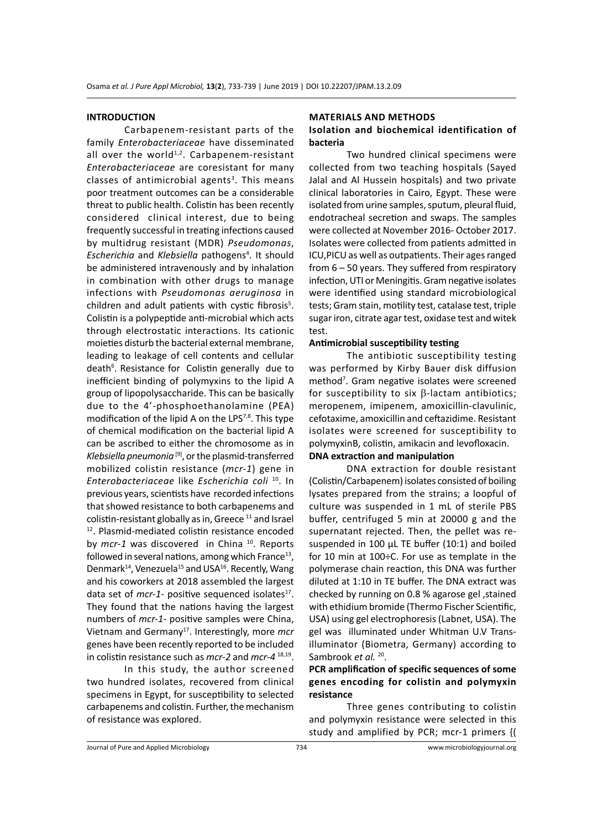#### **INTRODUCTION**

Carbapenem-resistant parts of the family *Enterobacteriaceae* have disseminated all over the world<sup>1,2</sup>. Carbapenem-resistant *Enterobacteriaceae* are coresistant for many classes of antimicrobial agents<sup>3</sup>. This means poor treatment outcomes can be a considerable threat to public health. Colistin has been recently considered clinical interest, due to being frequently successful in treating infections caused by multidrug resistant (MDR) *Pseudomonas*, Escherichia and Klebsiella pathogens<sup>4</sup>. It should be administered intravenously and by inhalation in combination with other drugs to manage infections with *Pseudomonas aeruginosa* in children and adult patients with cystic fibrosis<sup>5</sup>. Colistin is a polypeptide anti-microbial which acts through electrostatic interactions. Its cationic moieties disturb the bacterial external membrane, leading to leakage of cell contents and cellular death<sup>6</sup>. Resistance for Colistin generally due to inefficient binding of polymyxins to the lipid A group of lipopolysaccharide. This can be basically due to the 4'-phosphoethanolamine (PEA) modification of the lipid A on the LPS<sup>7,8</sup>. This type of chemical modification on the bacterial lipid A can be ascribed to either the chromosome as in *Klebsiella pneumonia* [9], or the plasmid-transferred mobilized colistin resistance (*mcr-1*) gene in *Enterobacteriaceae* like *Escherichia coli* <sup>10</sup>. In previous years, scientists have recorded infections that showed resistance to both carbapenems and colistin-resistant globally as in, Greece  $11$  and Israel <sup>12</sup>. Plasmid-mediated colistin resistance encoded by *mcr-1* was discovered in China <sup>10</sup>. Reports followed in several nations, among which France<sup>13</sup>, Denmark<sup>14</sup>, Venezuela<sup>15</sup> and USA<sup>16</sup>. Recently, Wang and his coworkers at 2018 assembled the largest data set of *mcr-1*- positive sequenced isolates<sup>17</sup>. They found that the nations having the largest numbers of *mcr-1*- positive samples were China, Vietnam and Germany17. Interestingly, more *mcr* genes have been recently reported to be included in colistin resistance such as *mcr-2* and *mcr-4* 18,19.

In this study, the author screened two hundred isolates, recovered from clinical specimens in Egypt, for susceptibility to selected carbapenems and colistin. Further, the mechanism of resistance was explored.

#### **Materials and Methods**

# **Isolation and biochemical identification of bacteria**

Two hundred clinical specimens were collected from two teaching hospitals (Sayed Jalal and Al Hussein hospitals) and two private clinical laboratories in Cairo, Egypt. These were isolated from urine samples, sputum, pleural fluid, endotracheal secretion and swaps. The samples were collected at November 2016- October 2017. Isolates were collected from patients admitted in ICU,PICU as well as outpatients. Their ages ranged from 6 – 50 years. They suffered from respiratory infection, UTI or Meningitis. Gram negative isolates were identified using standard microbiological tests; Gram stain, motility test, catalase test, triple sugar iron, citrate agar test, oxidase test and witek test.

### **Antimicrobial susceptibility testing**

The antibiotic susceptibility testing was performed by Kirby Bauer disk diffusion method<sup>7</sup>. Gram negative isolates were screened for susceptibility to six β-lactam antibiotics; meropenem, imipenem, amoxicillin-clavulinic, cefotaxime, amoxicillin and ceftazidime. Resistant isolates were screened for susceptibility to polymyxinB, colistin, amikacin and levofloxacin. **DNA extraction and manipulation**

DNA extraction for double resistant (Colistin/Carbapenem) isolates consisted of boiling lysates prepared from the strains; a loopful of culture was suspended in 1 mL of sterile PBS buffer, centrifuged 5 min at 20000 g and the supernatant rejected. Then, the pellet was resuspended in 100  $\mu$ L TE buffer (10:1) and boiled for 10 min at 100÷C. For use as template in the polymerase chain reaction, this DNA was further diluted at 1:10 in TE buffer. The DNA extract was checked by running on 0.8 % agarose gel , stained with ethidium bromide (Thermo Fischer Scientific, USA) using gel electrophoresis (Labnet, USA). The gel was illuminated under Whitman U.V Transilluminator (Biometra, Germany) according to Sambrook *et al.* <sup>20</sup>.

# **PCR amplification of specific sequences of some genes encoding for colistin and polymyxin resistance**

Three genes contributing to colistin and polymyxin resistance were selected in this study and amplified by PCR; mcr-1 primers {(

Journal of Pure and Applied Microbiology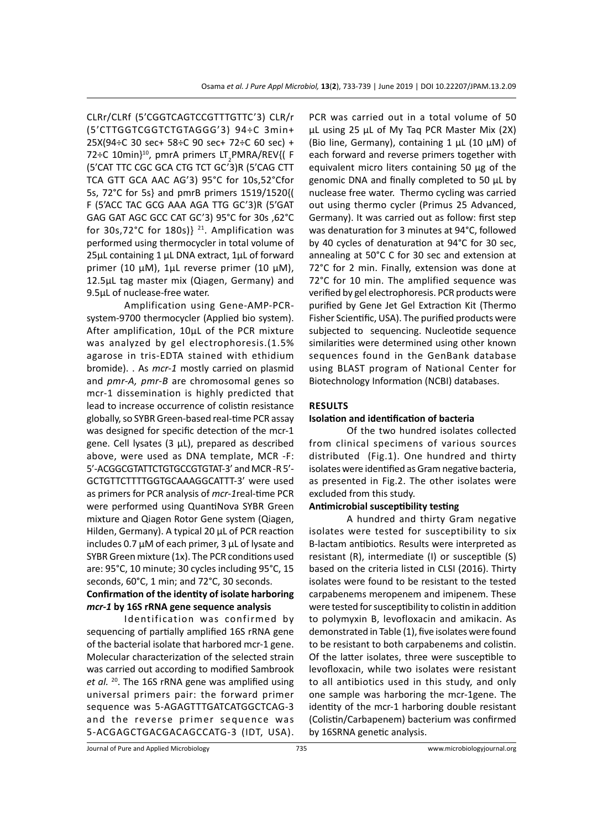CLRr/CLRf (5'CGGTCAGTCCGTTTGTTC'3) CLR/r (5'CTTGGTCGGTCTGTAGGG'3) 94÷C 3min+ 25X(94÷C 30 sec+ 58÷C 90 sec+ 72÷C 60 sec) + 72÷C 10min}<sup>10</sup>, pmrA primers LT<sub>2</sub>PMRA/REV{(F (5'CAT TTC CGC GCA CTG TCT GC'3)R (5'CAG CTT TCA GTT GCA AAC AG'3) 95°C for 10s,52°Cfor 5s, 72°C for 5s} and pmrB primers 1519/1520{( F (5'ACC TAC GCG AAA AGA TTG GC'3)R (5'GAT GAG GAT AGC GCC CAT GC'3) 95°C for 30s ,62°C for 30s,72°C for 180s)}<sup>21</sup>. Amplification was performed using thermocycler in total volume of 25µL containing 1 µL DNA extract, 1µL of forward primer (10 µM), 1µL reverse primer (10 µM), 12.5µL tag master mix (Qiagen, Germany) and 9.5µL of nuclease-free water.

Amplification using Gene-AMP-PCRsystem-9700 thermocycler (Applied bio system). After amplification, 10µL of the PCR mixture was analyzed by gel electrophoresis.(1.5% agarose in tris-EDTA stained with ethidium bromide). . As *mcr-1* mostly carried on plasmid and *pmr-A, pmr-B* are chromosomal genes so mcr-1 dissemination is highly predicted that lead to increase occurrence of colistin resistance globally, so SYBR Green-based real-time PCR assay was designed for specific detection of the mcr-1 gene. Cell lysates (3 µL), prepared as described above, were used as DNA template, MCR -F: 5'-ACGGCGTATTCTGTGCCGTGTAT-3' and MCR -R 5'- GCTGTTCTTTTGGTGCAAAGGCATTT-3' were used as primers for PCR analysis of *mcr-1*real-time PCR were performed using QuantiNova SYBR Green mixture and Qiagen Rotor Gene system (Qiagen, Hilden, Germany). A typical 20 µL of PCR reaction includes 0.7 µM of each primer, 3 µL of lysate and SYBR Green mixture (1x). The PCR conditions used are: 95°C, 10 minute; 30 cycles including 95°C, 15 seconds, 60°C, 1 min; and 72°C, 30 seconds.

# **Confirmation of the identity of isolate harboring**  *mcr-1* **by 16S rRNA gene sequence analysis**

Identification was confirmed by sequencing of partially amplified 16S rRNA gene of the bacterial isolate that harbored mcr-1 gene. Molecular characterization of the selected strain was carried out according to modified Sambrook et al. <sup>20</sup>. The 16S rRNA gene was amplified using universal primers pair: the forward primer sequence was 5-AGAGTTTGATCATGGCTCAG-3 and the reverse primer sequence was 5-ACGAGCTGACGACAGCCATG-3 (IDT, USA). PCR was carried out in a total volume of 50 µL using 25 µL of My Taq PCR Master Mix (2X) (Bio line, Germany), containing 1  $\mu$ L (10  $\mu$ M) of each forward and reverse primers together with equivalent micro liters containing 50 µg of the genomic DNA and finally completed to 50 µL by nuclease free water. Thermo cycling was carried out using thermo cycler (Primus 25 Advanced, Germany). It was carried out as follow: first step was denaturation for 3 minutes at 94°C, followed by 40 cycles of denaturation at 94°C for 30 sec, annealing at 50°C C for 30 sec and extension at 72°C for 2 min. Finally, extension was done at 72°C for 10 min. The amplified sequence was verified by gel electrophoresis. PCR products were purified by Gene Jet Gel Extraction Kit (Thermo Fisher Scientific, USA). The purified products were subjected to sequencing. Nucleotide sequence similarities were determined using other known sequences found in the GenBank database using BLAST program of National Center for Biotechnology Information (NCBI) databases.

# **Results**

### **Isolation and identification of bacteria**

Of the two hundred isolates collected from clinical specimens of various sources distributed (Fig.1). One hundred and thirty isolates were identified as Gram negative bacteria, as presented in Fig.2. The other isolates were excluded from this study.

#### **Antimicrobial susceptibility testing**

A hundred and thirty Gram negative isolates were tested for susceptibility to six B-lactam antibiotics. Results were interpreted as resistant (R), intermediate (I) or susceptible (S) based on the criteria listed in CLSI (2016). Thirty isolates were found to be resistant to the tested carpabenems meropenem and imipenem. These were tested for susceptibility to colistin in addition to polymyxin B, levofloxacin and amikacin. As demonstrated in Table (1), five isolates were found to be resistant to both carpabenems and colistin. Of the latter isolates, three were susceptible to levofloxacin, while two isolates were resistant to all antibiotics used in this study, and only one sample was harboring the mcr-1gene. The identity of the mcr-1 harboring double resistant (Colistin/Carbapenem) bacterium was confirmed by 16SRNA genetic analysis.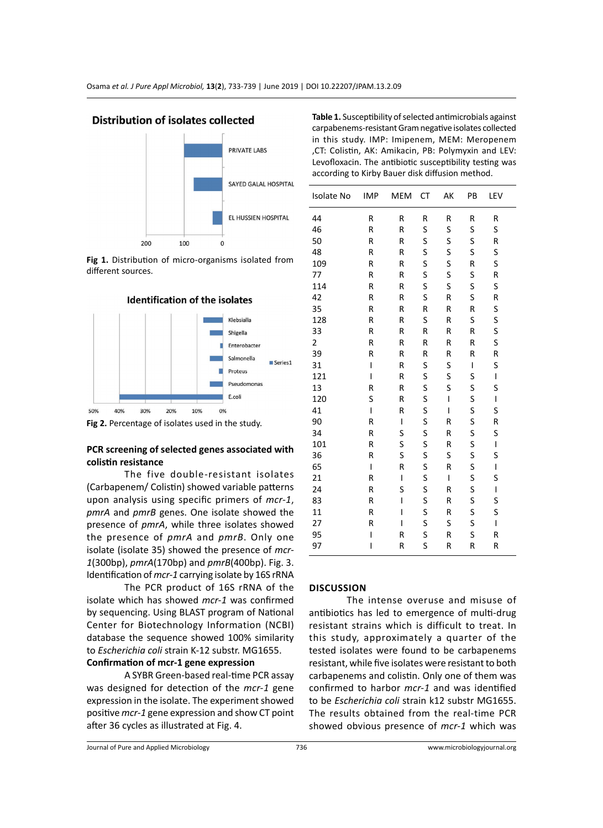



**Fig 1.** Distribution of micro-organisms isolated from different sources.



**Fig 2.** Percentage of isolates used in the study.

# **PCR screening of selected genes associated with colistin resistance**

The five double-resistant isolates (Carbapenem/ Colistin) showed variable patterns upon analysis using specific primers of *mcr-1*, *pmrA* and *pmrB* genes. One isolate showed the presence of *pmrA*, while three isolates showed the presence of *pmrA* and *pmrB*. Only one isolate (isolate 35) showed the presence of *mcr-1*(300bp), *pmrA*(170bp) and *pmrB*(400bp). Fig. 3. Identification of *mcr-1* carrying isolate by 16S rRNA

The PCR product of 16S rRNA of the isolate which has showed *mcr-1* was confirmed by sequencing. Using BLAST program of National Center for Biotechnology Information (NCBI) database the sequence showed 100% similarity to *Escherichia coli* strain K-12 substr. MG1655.

# **Confirmation of mcr-1 gene expression**

A SYBR Green-based real-time PCR assay was designed for detection of the *mcr-1* gene expression in the isolate. The experiment showed positive *mcr-1* gene expression and show CT point after 36 cycles as illustrated at Fig. 4.

| Levofloxacin. The antibiotic susceptibility testing was<br>according to Kirby Bauer disk diffusion method. |            |     |    |    |    |     |  |
|------------------------------------------------------------------------------------------------------------|------------|-----|----|----|----|-----|--|
| <b>Isolate No</b>                                                                                          | <b>IMP</b> | MEM | СT | АK | PB | LEV |  |
| 44                                                                                                         | R          | R   | R  | R  | R  | R   |  |
| 46                                                                                                         | R          | R   | S  | S  | S  | S   |  |
| 50                                                                                                         | R          | R   | S  | S  | S  | R   |  |
| 48                                                                                                         | R          | R   | S  | S  | S  | S   |  |
| 109                                                                                                        | R          | R   | S  | S  | R  | S   |  |
| 77                                                                                                         | R          | R   | S  | S  | S  | R   |  |
| 114                                                                                                        | R          | R   | S  | S  | S  | S   |  |
| 42                                                                                                         | R          | R   | S  | R  | S  | R   |  |
| 35                                                                                                         | R          | R   | R  | R  | R  | S   |  |
| 128                                                                                                        | R          | R   | S  | R  | S  | S   |  |
| 33                                                                                                         | R          | R   | R  | R  | R  | S   |  |
| 2                                                                                                          | R          | R   | R  | R  | R  | S   |  |
| 39                                                                                                         | R          | R   | R  | R  | R  | R   |  |
| 31                                                                                                         | ı          | R   | S  | S  | ı  | S   |  |
| 121                                                                                                        | ı          | R   | S  | S  | S  | I   |  |
| 13                                                                                                         | R          | R   | S  | S  | S  | S   |  |
| 120                                                                                                        | S          | R   | S  | ı  | S  | T   |  |
| 41                                                                                                         | ı          | R   | S  | ı  | S  | S   |  |

 R I S R S R R S S R S S R S S R S I R S S S S S I R S R S I R I S I S S R S S R S I R I S R S S R I S R S S R I S S S I I R S R S R I R S R R R

**Table 1.** Susceptibility of selected antimicrobials against carpabenems-resistant Gram negative isolates collected in this study. IMP: Imipenem, MEM: Meropenem ,CT: Colistin, AK: Amikacin, PB: Polymyxin and LEV:

# **Discussion**

The intense overuse and misuse of antibiotics has led to emergence of multi-drug resistant strains which is difficult to treat. In this study, approximately a quarter of the tested isolates were found to be carbapenems resistant, while five isolates were resistant to both carbapenems and colistin. Only one of them was confirmed to harbor *mcr-1* and was identified to be *Escherichia coli* strain k12 substr MG1655. The results obtained from the real-time PCR showed obvious presence of *mcr-1* which was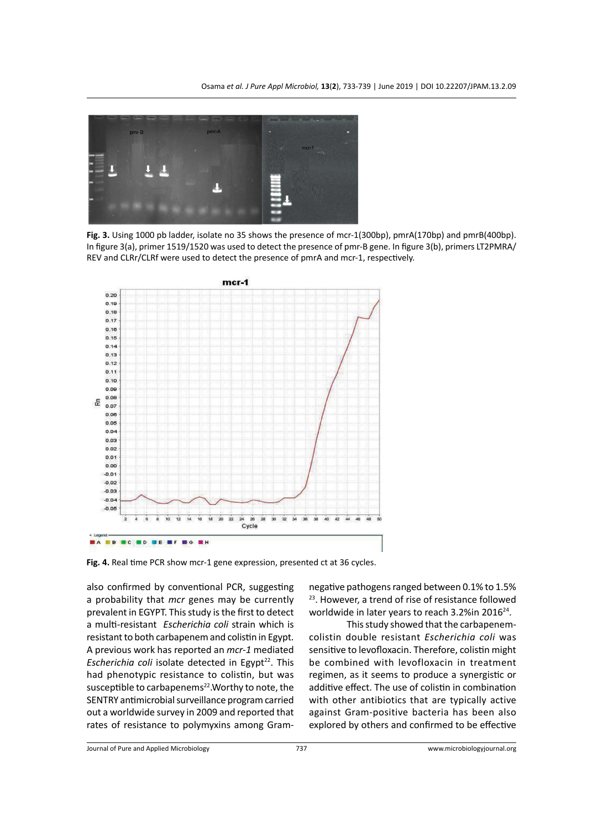

**Fig. 3.** Using 1000 pb ladder, isolate no 35 shows the presence of mcr-1(300bp), pmrA(170bp) and pmrB(400bp). In figure 3(a), primer 1519/1520 was used to detect the presence of pmr-B gene. In figure 3(b), primers LT2PMRA/ REV and CLRr/CLRf were used to detect the presence of pmrA and mcr-1, respectively.



**Fig. 4.** Real time PCR show mcr-1 gene expression, presented ct at 36 cycles.

also confirmed by conventional PCR, suggesting a probability that *mcr* genes may be currently prevalent in EGYPT. This study is the first to detect a multi-resistant *Escherichia coli* strain which is resistant to both carbapenem and colistin in Egypt. A previous work has reported an *mcr-1* mediated *Escherichia coli* isolate detected in Egypt<sup>22</sup>. This had phenotypic resistance to colistin, but was susceptible to carbapenems<sup>22</sup>. Worthy to note, the SENTRY antimicrobial surveillance program carried out a worldwide survey in 2009 and reported that rates of resistance to polymyxins among Gramnegative pathogens ranged between 0.1% to 1.5% <sup>23</sup>. However, a trend of rise of resistance followed worldwide in later years to reach 3.2% in 2016<sup>24</sup>.

This study showed that the carbapenemcolistin double resistant *Escherichia coli* was sensitive to levofloxacin. Therefore, colistin might be combined with levofloxacin in treatment regimen, as it seems to produce a synergistic or additive effect. The use of colistin in combination with other antibiotics that are typically active against Gram-positive bacteria has been also explored by others and confirmed to be effective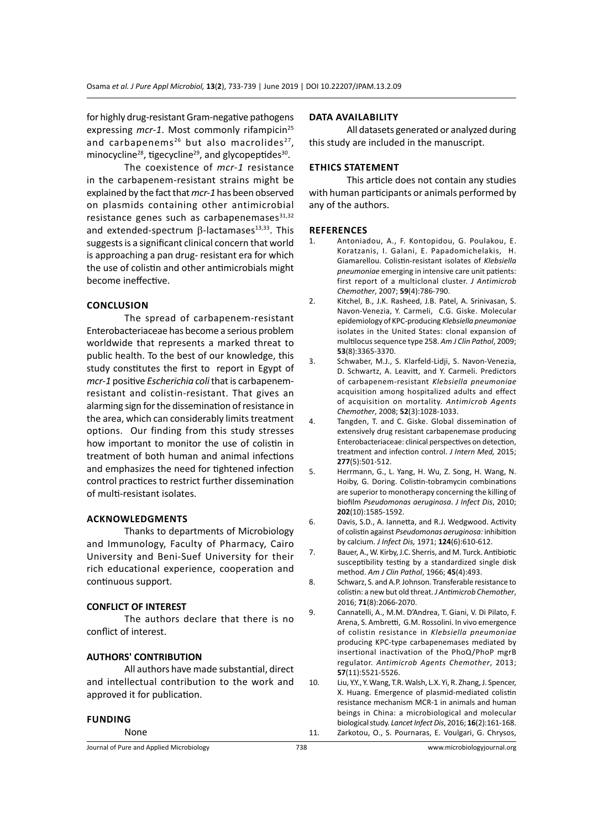for highly drug-resistant Gram-negative pathogens expressing *mcr-1*. Most commonly rifampicin<sup>25</sup> and carbapenems<sup>26</sup> but also macrolides<sup>27</sup>, minocycline<sup>28</sup>, tigecycline<sup>29</sup>, and glycopeptides<sup>30</sup>.

The coexistence of *mcr-1* resistance in the carbapenem-resistant strains might be explained by the fact that *mcr-1* has been observed on plasmids containing other antimicrobial resistance genes such as carbapenemases $31,32$ and extended-spectrum  $β$ -lactamases<sup>13,33</sup>. This suggests is a significant clinical concern that world is approaching a pan drug- resistant era for which the use of colistin and other antimicrobials might become ineffective.

### **Conclusion**

The spread of carbapenem-resistant Enterobacteriaceae has become a serious problem worldwide that represents a marked threat to public health. To the best of our knowledge, this study constitutes the first to report in Egypt of *mcr-1* positive *Escherichia coli* that is carbapenemresistant and colistin-resistant. That gives an alarming sign for the dissemination of resistance in the area, which can considerably limits treatment options. Our finding from this study stresses how important to monitor the use of colistin in treatment of both human and animal infections and emphasizes the need for tightened infection control practices to restrict further dissemination of multi-resistant isolates.

#### **Acknowledgments**

Thanks to departments of Microbiology and Immunology, Faculty of Pharmacy, Cairo University and Beni-Suef University for their rich educational experience, cooperation and continuous support.

#### **CONFLICT OF INTEREST**

The authors declare that there is no conflict of interest.

# **AUTHORS' CONTRIBUTION**

All authors have made substantial, direct and intellectual contribution to the work and approved it for publication.

#### **Funding**

# None

## **Data availability**

All datasets generated or analyzed during this study are included in the manuscript.

# **Ethics Statement**

This article does not contain any studies with human participants or animals performed by any of the authors.

#### **References**

- 1. Antoniadou, A., F. Kontopidou, G. Poulakou, E. Koratzanis, I. Galani, E. Papadomichelakis, H. Giamarellou. Colistin-resistant isolates of *Klebsiella pneumoniae* emerging in intensive care unit patients: first report of a multiclonal cluster. *J Antimicrob Chemother*, 2007; **59**(4):786-790.
- 2. Kitchel, B., J.K. Rasheed, J.B. Patel, A. Srinivasan, S. Navon-Venezia, Y. Carmeli, C.G. Giske. Molecular epidemiology of KPC-producing *Klebsiella pneumoniae* isolates in the United States: clonal expansion of multilocus sequence type 258. *Am J Clin Pathol*, 2009; **53**(8):3365-3370.
- 3. Schwaber, M.J., S. Klarfeld-Lidji, S. Navon-Venezia, D. Schwartz, A. Leavitt, and Y. Carmeli. Predictors of carbapenem-resistant *Klebsiella pneumoniae*  acquisition among hospitalized adults and effect of acquisition on mortality. *Antimicrob Agents Chemother*, 2008; **52**(3):1028-1033.
- 4. Tangden, T. and C. Giske. Global dissemination of extensively drug resistant carbapenemase producing Enterobacteriaceae: clinical perspectives on detection, treatment and infection control. *J Intern Med,* 2015; **277**(5):501-512.
- 5. Herrmann, G., L. Yang, H. Wu, Z. Song, H. Wang, N. Hoiby, G. Doring. Colistin-tobramycin combinations are superior to monotherapy concerning the killing of biofilm *Pseudomonas aeruginosa*. *J Infect Dis*, 2010; **202**(10):1585-1592.
- 6. Davis, S.D., A. Iannetta, and R.J. Wedgwood. Activity of colistin against *Pseudomonas aeruginosa:* inhibition by calcium. *J Infect Dis,* 1971; **124**(6):610-612.
- 7. Bauer, A., W. Kirby, J.C. Sherris, and M. Turck. Antibiotic susceptibility testing by a standardized single disk method. *Am J Clin Pathol*, 1966; **45**(4):493.
- 8. Schwarz, S. and A.P. Johnson. Transferable resistance to colistin: a new but old threat. *J Antimicrob Chemother*, 2016; **71**(8):2066-2070.
- 9. Cannatelli, A., M.M. D'Andrea, T. Giani, V. Di Pilato, F. Arena, S. Ambretti, G.M. Rossolini. In vivo emergence of colistin resistance in *Klebsiella pneumoniae*  producing KPC-type carbapenemases mediated by insertional inactivation of the PhoQ/PhoP mgrB regulator. *Antimicrob Agents Chemother*, 2013; **57**(11):5521-5526.
- 10. Liu, Y.Y., Y. Wang, T.R. Walsh, L.X. Yi, R. Zhang, J. Spencer, X. Huang. Emergence of plasmid-mediated colistin resistance mechanism MCR-1 in animals and human beings in China: a microbiological and molecular biological study. *Lancet Infect Dis*, 2016; **16**(2):161-168. 11. Zarkotou, O., S. Pournaras, E. Voulgari, G. Chrysos,